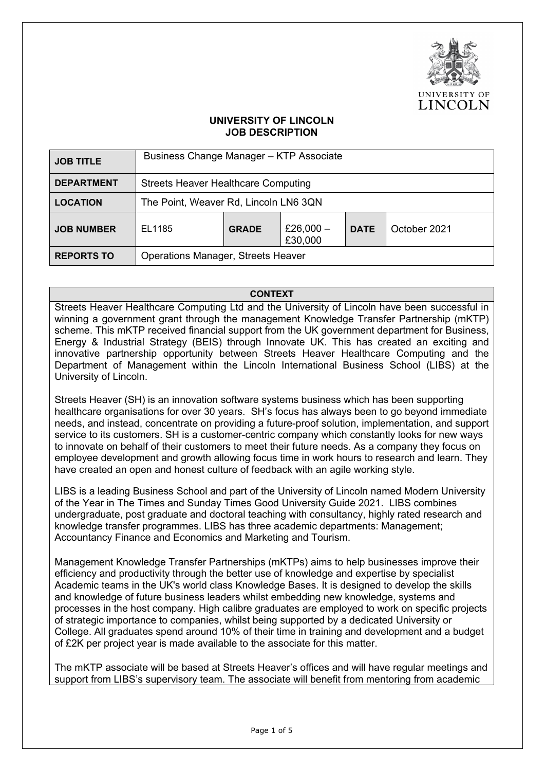

## **UNIVERSITY OF LINCOLN JOB DESCRIPTION**

| <b>JOB TITLE</b>  | Business Change Manager - KTP Associate    |              |                        |             |              |  |
|-------------------|--------------------------------------------|--------------|------------------------|-------------|--------------|--|
| <b>DEPARTMENT</b> | <b>Streets Heaver Healthcare Computing</b> |              |                        |             |              |  |
| <b>LOCATION</b>   | The Point, Weaver Rd, Lincoln LN6 3QN      |              |                        |             |              |  |
| <b>JOB NUMBER</b> | EL1185                                     | <b>GRADE</b> | £26,000 $-$<br>£30,000 | <b>DATE</b> | October 2021 |  |
| <b>REPORTS TO</b> | <b>Operations Manager, Streets Heaver</b>  |              |                        |             |              |  |

**CONTEXT**

Streets Heaver Healthcare Computing Ltd and the University of Lincoln have been successful in winning a government grant through the management Knowledge Transfer Partnership (mKTP) scheme. This mKTP received financial support from the UK government department for Business, Energy & Industrial Strategy (BEIS) through Innovate UK. This has created an exciting and innovative partnership opportunity between Streets Heaver Healthcare Computing and the Department of Management within the Lincoln International Business School (LIBS) at the University of Lincoln.

Streets Heaver (SH) is an innovation software systems business which has been supporting healthcare organisations for over 30 years. SH's focus has always been to go beyond immediate needs, and instead, concentrate on providing a future-proof solution, implementation, and support service to its customers. SH is a customer-centric company which constantly looks for new ways to innovate on behalf of their customers to meet their future needs. As a company they focus on employee development and growth allowing focus time in work hours to research and learn. They have created an open and honest culture of feedback with an agile working style.

LIBS is a leading Business School and part of the University of Lincoln named Modern University of the Year in The Times and Sunday Times Good University Guide 2021. LIBS combines undergraduate, post graduate and doctoral teaching with consultancy, highly rated research and knowledge transfer programmes. LIBS has three academic departments: Management; Accountancy Finance and Economics and Marketing and Tourism.

Management Knowledge Transfer Partnerships (mKTPs) aims to help businesses improve their efficiency and productivity through the better use of knowledge and expertise by specialist Academic teams in the UK's world class Knowledge Bases. It is designed to develop the skills and knowledge of future business leaders whilst embedding new knowledge, systems and processes in the host company. High calibre graduates are employed to work on specific projects of strategic importance to companies, whilst being supported by a dedicated University or College. All graduates spend around 10% of their time in training and development and a budget of £2K per project year is made available to the associate for this matter.

The mKTP associate will be based at Streets Heaver's offices and will have regular meetings and support from LIBS's supervisory team. The associate will benefit from mentoring from academic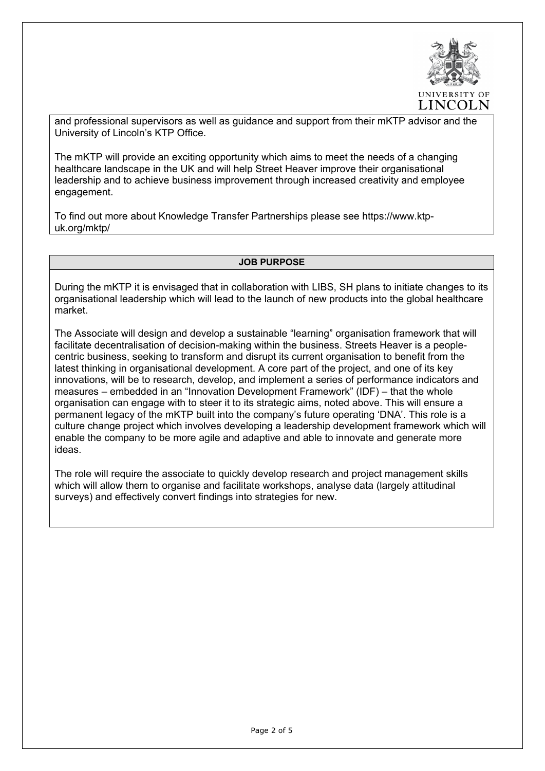

and professional supervisors as well as guidance and support from their mKTP advisor and the University of Lincoln's KTP Office.

The mKTP will provide an exciting opportunity which aims to meet the needs of a changing healthcare landscape in the UK and will help Street Heaver improve their organisational leadership and to achieve business improvement through increased creativity and employee engagement.

To find out more about Knowledge Transfer Partnerships please see https://www.ktpuk.org/mktp/

#### **JOB PURPOSE**

During the mKTP it is envisaged that in collaboration with LIBS, SH plans to initiate changes to its organisational leadership which will lead to the launch of new products into the global healthcare market.

The Associate will design and develop a sustainable "learning" organisation framework that will facilitate decentralisation of decision-making within the business. Streets Heaver is a peoplecentric business, seeking to transform and disrupt its current organisation to benefit from the latest thinking in organisational development. A core part of the project, and one of its key innovations, will be to research, develop, and implement a series of performance indicators and measures – embedded in an "Innovation Development Framework" (IDF) – that the whole organisation can engage with to steer it to its strategic aims, noted above. This will ensure a permanent legacy of the mKTP built into the company's future operating 'DNA'. This role is a culture change project which involves developing a leadership development framework which will enable the company to be more agile and adaptive and able to innovate and generate more ideas.

The role will require the associate to quickly develop research and project management skills which will allow them to organise and facilitate workshops, analyse data (largely attitudinal surveys) and effectively convert findings into strategies for new.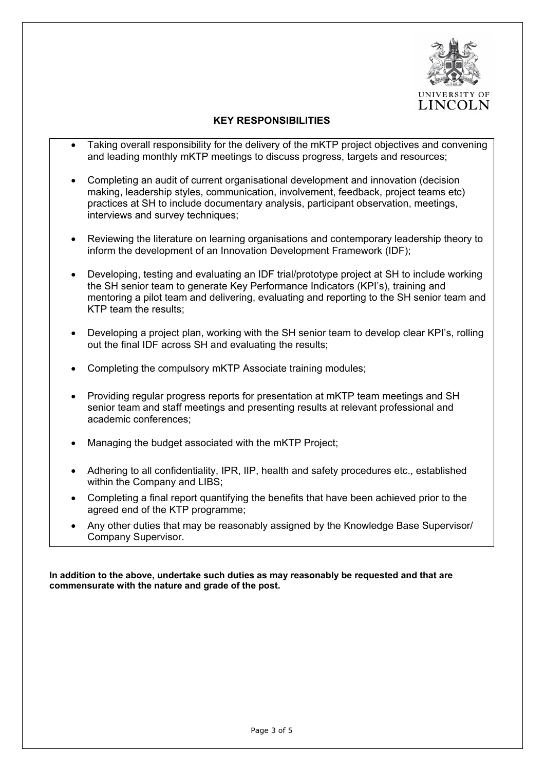

### **KEY RESPONSIBILITIES**

- Taking overall responsibility for the delivery of the mKTP project objectives and convening and leading monthly mKTP meetings to discuss progress, targets and resources;
- Completing an audit of current organisational development and innovation (decision making, leadership styles, communication, involvement, feedback, project teams etc) practices at SH to include documentary analysis, participant observation, meetings, interviews and survey techniques;
- Reviewing the literature on learning organisations and contemporary leadership theory to inform the development of an Innovation Development Framework (IDF);
- Developing, testing and evaluating an IDF trial/prototype project at SH to include working the SH senior team to generate Key Performance Indicators (KPI's), training and mentoring a pilot team and delivering, evaluating and reporting to the SH senior team and KTP team the results;
- Developing a project plan, working with the SH senior team to develop clear KPI's, rolling out the final IDF across SH and evaluating the results;
- Completing the compulsory mKTP Associate training modules;
- Providing regular progress reports for presentation at mKTP team meetings and SH senior team and staff meetings and presenting results at relevant professional and academic conferences;
- Managing the budget associated with the mKTP Project;
- Adhering to all confidentiality, IPR, IIP, health and safety procedures etc., established within the Company and LIBS;
- Completing a final report quantifying the benefits that have been achieved prior to the agreed end of the KTP programme;
- Any other duties that may be reasonably assigned by the Knowledge Base Supervisor/ Company Supervisor.

**In addition to the above, undertake such duties as may reasonably be requested and that are commensurate with the nature and grade of the post.**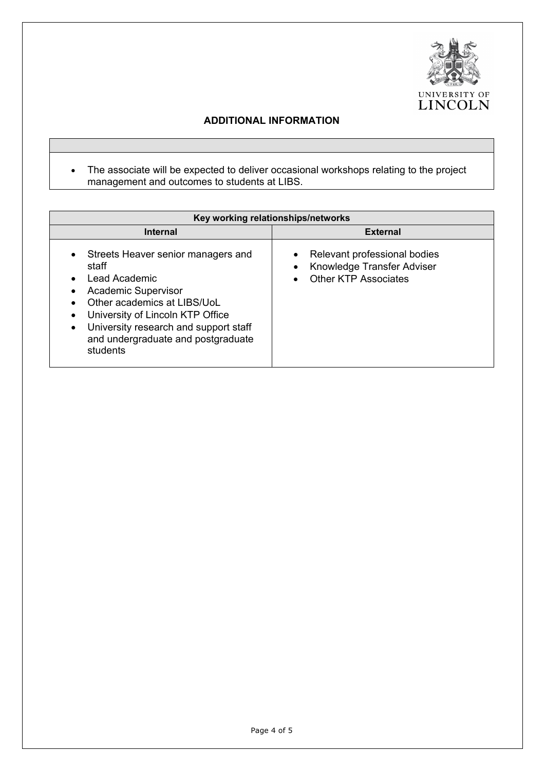

# **ADDITIONAL INFORMATION**

• The associate will be expected to deliver occasional workshops relating to the project management and outcomes to students at LIBS.

| Key working relationships/networks                                                                                                                                                                                                                       |                                                                                                                                  |  |  |  |  |  |
|----------------------------------------------------------------------------------------------------------------------------------------------------------------------------------------------------------------------------------------------------------|----------------------------------------------------------------------------------------------------------------------------------|--|--|--|--|--|
| <b>Internal</b>                                                                                                                                                                                                                                          | <b>External</b>                                                                                                                  |  |  |  |  |  |
| Streets Heaver senior managers and<br>staff<br>Lead Academic<br><b>Academic Supervisor</b><br>Other academics at LIBS/UoL<br>University of Lincoln KTP Office<br>University research and support staff<br>and undergraduate and postgraduate<br>students | Relevant professional bodies<br>$\bullet$<br>Knowledge Transfer Adviser<br>$\bullet$<br><b>Other KTP Associates</b><br>$\bullet$ |  |  |  |  |  |